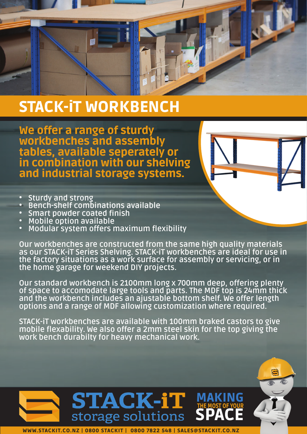

## STACK-iT WORKBENCH

We offer a range of sturdy workbenches and assembly tables, available seperately or in combination with our shelving and industrial storage systems.

- 
- Sturdy and strong<br>• Bench-shelf combinations available<br>• Smart powder coated finish<br>• Mobile option available<br>• Modular system offers maximum flexibility
- 
- 
- 

Our workbenches are constructed from the same high quality materials as our STACK-iT Series Shelving. STACK-iT workbenches are ideal for use in the factory situations as a work surface for assembly or servicing, or in the home garage for weekend DIY projects.

Our standard workbench is 2100mm long x 700mm deep, offering plenty of space to accomodate large tools and parts. The MDF top is 24mm thick and the workbench includes an ajustable bottom shelf. We offer length options and a range of MDF allowing customization where required.

STACK-iT workbenches are available with 100mm braked castors to give mobile flexability. We also offer a 2mm steel skin for the top giving the work bench durabilty for heavy mechanical work.